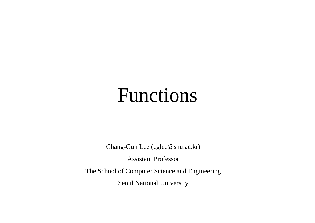# Functions

Chang-Gun Lee (cglee@snu.ac.kr)

Assistant Professo r

The School of Computer Science and Engineering

Seoul National University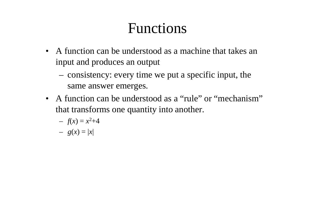### Functions

- A function can be understood as a machine that takes an input and produces an output
	- consistency: every time we put a specific input, the same answer emerges.
- A function can be understood as a "rule" or "mechanism" that transforms one quantity into another.

$$
- f(x) = x^2 + 4
$$

$$
- g(x) = |x|
$$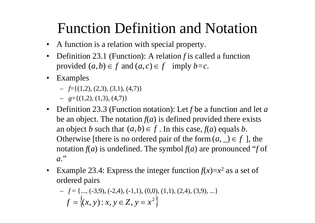# Function Definition and Notation

- A function is a relation with special property.
- $\bullet$  Definition 23.1 (Function): A relation *f* is called a function provided  $(a,b) \in f$  and  $(a,c) \in f$  imply  $b=c$ .
- Examples
	- $\mathcal{f} = \{(1,2), (2,3), (3,1), (4,7)\}\$  $=$   $f=(1,2), (2,3), (3,1), (4,7)$ }<br>–  $g=J(1,2), (1,3), (4,7)$ }
	- $g=\{(1,2),(1,3),(4,7)\}\;$
- Definition 23.3 (Function notation): Let f be a function and let  $a$ be an object. The notation  $f(a)$  is defined provided there exists an object *b* such that  $(a,b) \in f$ . In this case,  $f(a)$  equals *b*. Otherwise [there is no ordered pair of the form  $(a, \_) \in f$ ], the notation  $f(a)$  is undefined. The symbol  $f(a)$  are pronounced "f of *<sup>a</sup>*."
- •Example 23.4: Express the integer function  $f(x)=x$  $^2$  as a set of ordered pairs

$$
- f = \{..., (-3,9), (-2,4), (-1,1), (0,0), (1,1), (2,4), (3,9), ...\}
$$

$$
f = \{(x, y) : x, y \in Z, y = x^2\}
$$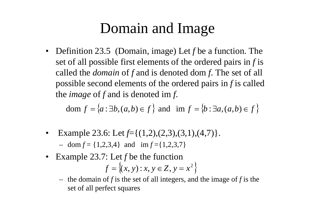## Domain and Ima g e

• Definition 23.5 (Domain, image) Let f be a function. The set of all possible first elements of the ordered pairs in  $f$  is called the *domain* of *f* and is denoted dom *f*. The set of all possible second elements of the ordered pairs in *f* is called the *image* of f and is denoted im f.

dom  $f = \{a : \exists b, (a, b) \in f\}$  and im  $f = \{b : \exists a, (a, b) \in f\}$ 

•Example 23.6: Let  $f = \{(1,2),(2,3),(3,1),(4,7)\}.$ 

 $-$  dom  $f = \{1,2,3,4\}$  and  $\text{im } f = \{1,2,3,7\}$ 

- Example 23.7: Let f be the function  $f = \{(x, y) : x, y \in Z, y = x^2\}$ 
	- $-$  the domain of f is the set of all integers, and the image of f is the set of all perfect squares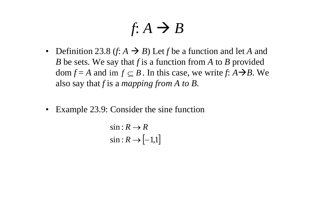$$
f: A \to B
$$

- Definition 23.8 (*f*:  $A \rightarrow B$ ) Let *f* be a function and let *A* and *B* be sets. We say that *f* is a function from *A* to *B* provided  $dom f = A$  and  $im f \subseteq B$ . In this case, we write  $f: A \rightarrow B$ . We also say that *f* is <sup>a</sup> *mapping from A to B*.
- $\bullet$ Example 23.9: Consider the sine function

$$
\sin: R \to R
$$
  

$$
\sin: R \to [-1,1]
$$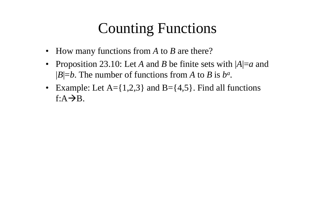# Counting Functions

- How many functions from *A* to *B* are there?
- Proposition 23.10: Let *A* and *B* be finite sets with  $|A|=a$  and  $|B|=b$ . The number of functions from *A* to *B* is  $b^a$ .
- Example: Let  $A = \{1,2,3\}$  and  $B = \{4,5\}$ . Find all functions  $f:A\rightarrow B$ .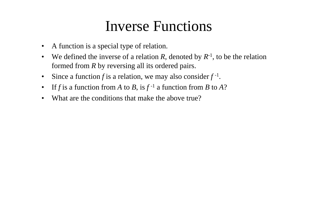#### Inverse Functions

- •A function is a special type of relation.
- $\bullet$ We defined the inverse of a relation R, denoted by  $R^{-1}$ , to be the relation formed from *R* by reversing all its ordered pairs.
- $\bullet$ Since a function f is a relation, we may also consider  $f^{-1}$ .
- If f is a function from A to B, is  $f^{-1}$  a function from B to A?
- •What are the conditions that make the above true?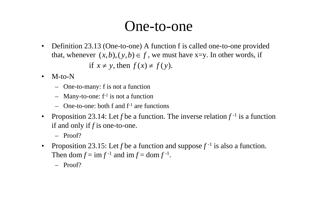#### One-to-one

- • Definition 23.13 (One-to-one) A function f is called one-to-one provided that, whenever  $(x, b), (y, b) \in f$ , we must have x=y. In other words, if if  $x \neq y$ , then  $f(x) \neq f(y)$ .
- • M-to-N
	- One to many: f is not <sup>a</sup> function One-to-many:
	- $-$  Many-to-one:  $f^{-1}$  is not a function
	- $\sim$  One-to-one: both f and  $f^{-1}$  are functions
- •Proposition 23.14: Let *f* be a function. The inverse relation  $f^{-1}$  is a function if and only if *f* is one-to-one.
	- Proof?
- •Proposition 23.15: Let *f* be a function and suppose  $f^{-1}$  is also a function. Then dom  $f = \text{im } f^{-1}$  and  $\text{im } f = \text{dom } f^{-1}$ .
	- Proof?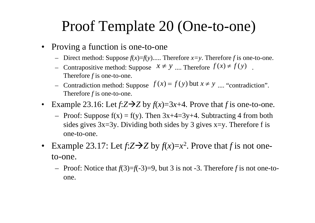### Proof Template 20 (One-to-one)

- Proving a function is one-to-one
	- − Direct method: Suppose  $f(x)=f(y)$ ..... Therefore *x*=y. Therefore *f* is one-to-one.
	- − Contrapositive method: Suppose  $x \neq y$  *...*. Therefore  $f(x) \neq f(y)$ . Therefore *f* is one-to-one. - Contradiction method: Suppose  $J(x) = J(y)$  but  $x \neq y$  .... "contradiction ,, *n* method: Suppose  $f(x) = f(y)$  but  $x \neq y$  .... "contradiction". Therefore  $f$  is one-to-one.
- •Example 23.16: Let  $f:Z \rightarrow Z$  by  $f(x)=3x+4$ . Prove that f is one-to-one.
	- Proof: Suppose  $f(x) = f(y)$ . Then  $3x+4=3y+4$ . Subtracting 4 from both sides gives  $3x=3y$ . Dividing both sides by 3 gives  $x=y$ . Therefore f is one-to-one.
- •Example 23.17: Let  $f:Z \rightarrow Z$  by  $f(x)=x^2$ . Prove that f is not oneto-one.
	- Proof: Notice that *f*(3)=*f*(-3)=9, but 3 is not -3. Therefore *f* is not one-toone.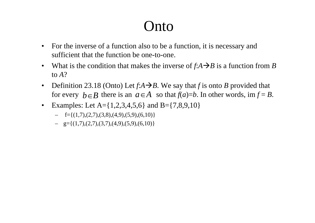### $\int$ nto

- • For the inverse of a function also to be a function, it is necessary and sufficient that the function be one-to-one.
- •What is the condition that makes the inverse of  $f: A \rightarrow B$  is a function from *B* to *A*?
- $\bullet$ Definition 23.18 (Onto) Let  $f:A \rightarrow B$ . We say that f is onto *B* provided that for every  $b \in B$  there is an  $a \in A$  so that  $f(a)=b$ . In other words, im  $f = B$ .
- •Examples: Let  $A = \{1,2,3,4,5,6\}$  and  $B = \{7,8,9,10\}$ 
	- $-$  f={(1,7),(2,7),(3,8),(4,9),(5,9),(6,10)}
	- $-$  g={(1,7),(2,7),(3,7),(4,9),(5,9),(6,10)}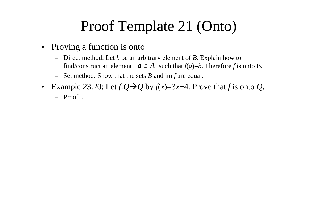# Proof Template 21 (Onto)

- Proving a function is onto
	- Direct method: Let *b* be an arbitrar y element of *B*. Ex plain how to find/construct an element  $a \in A$  such that  $f(a)=b$ . Therefore f is onto B.
	- Set method: Show that the sets *B* and im *f* are equal.
- •Example 23.20: Let  $f:Q \rightarrow Q$  by  $f(x)=3x+4$ . Prove that f is onto Q.
	- Proof. ...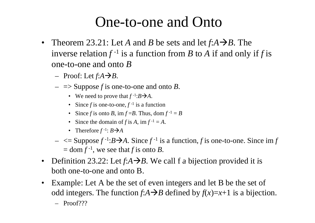#### One-to-one and Onto

- Theorem 23.21: Let A and B be sets and let  $f: A \rightarrow B$ . The inverse relation  $f^{-1}$  is a function from B to A if and only if f is one-to-one and onto *B*
	- $-$  Proof: Let  $f:A \rightarrow B$ .
	- $\Rightarrow$  Suppose *f* is one-to-one and onto *B*.
		- We need to prove that  $f^{-1}:B\rightarrow A$ .
		- Since f is one-to-one,  $f^{-1}$  is a function
		- Since f is onto B, im  $f = B$ . Thus, dom  $f^{-1} = B$
		- Since the domain of *f* is *A*, im  $f^{-1} = A$ .
		- Therefore  $f^{-1}$ :  $B\rightarrow A$
	- $\leq$  Suppose  $f^{-1}: B \rightarrow A$ . Since  $f^{-1}$  is a function, f is one-to-one. Since im f  $=$  dom  $f^{-1}$ , we see that f is onto B.
- •• Definition 23.22: Let  $f:A \rightarrow B$ . We call f a bijection provided it is both one-to-one and onto B.
- • Example: Let A be the set of even integers and let B be the set of odd integers. The function  $f:A \rightarrow B$  defined by  $f(x)=x+1$  is a bijection.
	- Proof???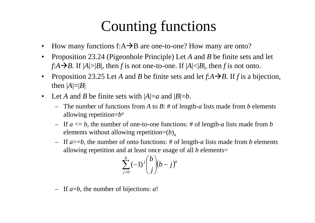### Counting functions

- •How many functions f: $A \rightarrow B$  are one-to-one? How many are onto?
- •Proposition 23.24 (Pigeonhole Principle) Let A and B be finite sets and let  $f:A \rightarrow B$ . If  $|A| > |B|$ , then f is not one-to-one. If  $|A| < |B|$ , then f is not onto.
- •Proposition 23.25 Let *A* and *B* be finite sets and let  $f: A \rightarrow B$ . If *f* is a bijection, then | *A*|=| *B*|
- •Let A and B be finite sets with  $|A|=a$  and  $|B|=b$ .
	- The number of functions from *A* to *B*: # of length-*a* lists made from *b* elements allowing repetition= *b a*
	- If *a* <= *b*, the number of one-to-one functions: # of length-*a* lists made from *b* elements without allowing repetition=( *b* ) *a*
	- If *a*>= *b*, the number of onto functions: # of length-*a* lists made from *b* elements allowing repetition and at least once usage of all *b* elements=

$$
\sum_{j=0}^b (-1)^j \binom{b}{j} (b-j)^a
$$

 $-$  If  $a=b$ , the number of bijections: a!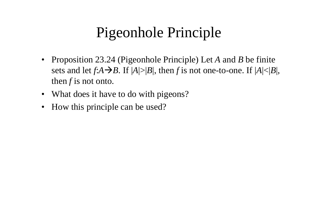# Pigeonhole Principle

- $\bullet$ • Proposition 23.24 (Pigeonhole Principle) Let A and B be finite sets and let  $f:A \rightarrow B$ . If  $|A|>|B|$ , then f is not one-to-one. If  $|A|<|B|$ , then *f* is not onto.
- What does it have to do with pigeons?
- •How this principle can be used?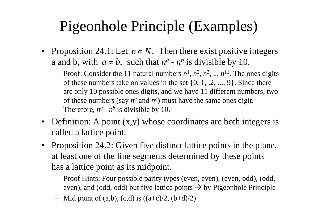# Pigeonhole Principle (Examples)

- Proposition 24.1: Let  $n \in N$ . Then there exist positive integers a and b, with  $a \neq b$ , such that *n a n* a and b, with  $a \neq b$ , such that  $n^a$  -  $n^b$  is divisible by 10.
	- $\blacksquare$  Proof: Consider the 11 natural numbers  $n^1$ ,  $n^2$ ,  $n^3$ , ...  $n^{11}$ . The ones digits of these numbers take on values in the set  $\{0, 1, 2, ..., 9\}$ . Since there are only 10 possible ones digits, and we have 11 different numbers, two of these numbers (say  $n^a$  and  $n^b$ ) must have the same ones digit. Therefore,  $n^a$  -  $n^b$  is divisible by 10.
- • Definition: A point (x,y) whose coordinates are both integers is called a lattice point.
- • Proposition 24.2: Given five distinct lattice points in the plane, at least one of the line segments determined by these points has a lattice point as its midpoint.
	- Proof Hints: Four possible parity types (even, even), (even, odd), (odd, even), and (odd, odd) but five lattice points  $\rightarrow$  by Pigeonhole Principle
	- Mid point of (a,b), (c,d) is  $((a+c)/2, (b+d)/2)$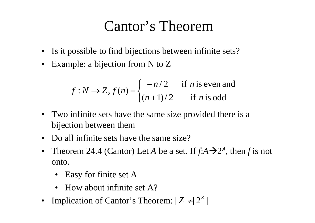### Cantor's Theorem

- Is it possible to find bijections between infinite sets?
- •Example: a bijection from N to Z

$$
f: N \rightarrow Z
$$
,  $f(n) = \begin{cases} -n/2 & \text{if } n \text{ is even and} \\ (n+1)/2 & \text{if } n \text{ is odd} \end{cases}$ 

- Two infinite sets have the same size provided there is a bijection between them
- •• Do all infinite sets have the same size?
- $\bullet$ Theorem 24.4 (Cantor) Let A be a set. If  $f:A \rightarrow 2^A$ , then f is not onto.
	- Easy for finite set A
	- How about infinite set A?
- •Implication of Cantor's Theorem:  $|Z| \neq |Z^Z|$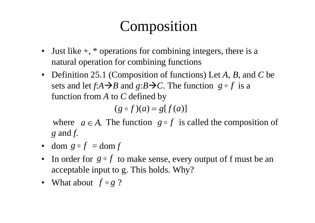# Composition

- •Just like  $+$ ,  $*$  operations for combining integers, there is a natural operation for combining functions
- Definition 25.1 (Composition of functions) Let *A*, *B*, and *C* be sets and let  $f:A \rightarrow B$  and  $g:B \rightarrow C$ . The function  $g \circ f$  is a function from *A* to *C* defined by

 $(g \circ f)(a) = g[f(a)]$ 

where  $a \in A$ . The function  $g \circ f$  is called the composition of *g* and *f*.

- dom  $g \circ f = \text{dom } f$
- In order for  $g \circ f$  to make sense, every output of f must be an acceptable input to g. This holds. Why?
- What about  $f \circ g$  ?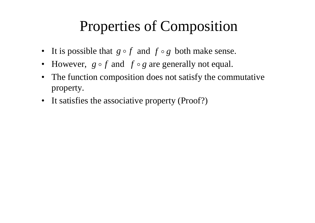### Properties of Composition

- It is possible that  $g \circ f$  and  $f \circ g$  both make sense.
- However,  $g \circ f$  and  $f \circ g$  are generally not equal. •
- $\bullet$  The function composition does not satisfy the commutative property.
- It satisfies the associative property (Proof?)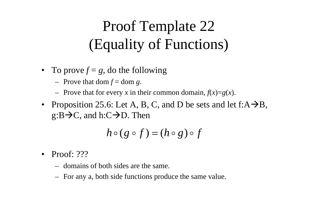# Proof Template 22 (Equality of Functions)

- To prove  $f = g$ , do the following
	- $-$  Prove that dom  $f =$  dom  $g$ .
	- Prove that for every x in their common domain,  $f(x)=g(x)$ .
- Proposition 25.6: Let A, B, C, and D be sets and let  $f:A\rightarrow B$ ,  $g$ :B $\rightarrow$ C, and h:C $\rightarrow$ D. Then

$$
h\circ (g\circ f)=(h\circ g)\circ f
$$

- • Proof: ???
	- domains of both sides are the same.
	- For any a, both side functions produce the same value.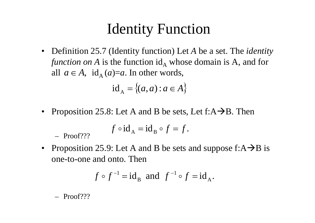## Identity Function

• Definition 25.7 (Identity function) Let *A* be a set. The *identity function on* A is the function id<sub>A</sub> whose domain is A, and for all  $a \in A$ ,  $id_A(a)=a$ . In other words,

$$
id_A = \{(a, a) : a \in A\}
$$

• Proposition 25.8: Let A and B be sets, Let  $f:A\rightarrow B$ . Then  $id_A = \{(a, a) : a \in A\}$ <br>
Proposition 25.8: Let A and B be sets, Let  $f: A \rightarrow B$ .<br>  $f \circ id_A = id_B \circ f = f$ .

$$
f \circ id_A = id_B \circ f = f.
$$

 $-$  Proof???

•Proposition 25.9: Let A and B be sets and suppose  $f: A \rightarrow B$  is one-to-one and onto. Then

$$
f \circ f^{-1} = id_B
$$
 and  $f^{-1} \circ f = id_A$ .

– Proof???